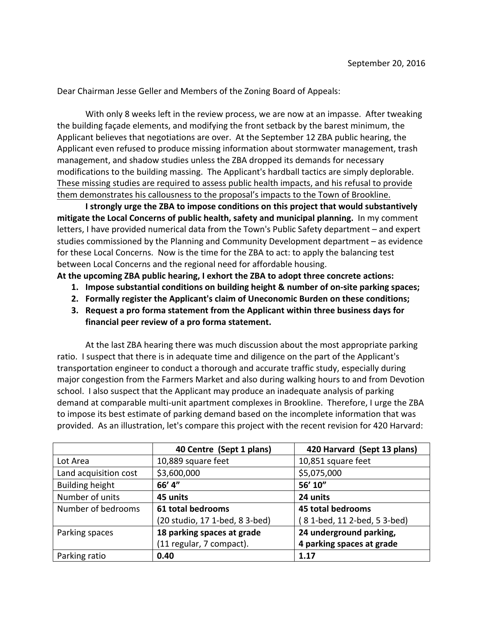Dear Chairman Jesse Geller and Members of the Zoning Board of Appeals:

With only 8 weeks left in the review process, we are now at an impasse. After tweaking the building façade elements, and modifying the front setback by the barest minimum, the Applicant believes that negotiations are over. At the September 12 ZBA public hearing, the Applicant even refused to produce missing information about stormwater management, trash management, and shadow studies unless the ZBA dropped its demands for necessary modifications to the building massing. The Applicant's hardball tactics are simply deplorable. These missing studies are required to assess public health impacts, and his refusal to provide them demonstrates his callousness to the proposal's impacts to the Town of Brookline.

**I** strongly urge the ZBA to impose conditions on this project that would substantively **mitigate the Local Concerns of public health, safety and municipal planning.** In my comment letters, I have provided numerical data from the Town's Public Safety department – and expert studies commissioned by the Planning and Community Development department – as evidence for these Local Concerns. Now is the time for the ZBA to act: to apply the balancing test between Local Concerns and the regional need for affordable housing.

At the upcoming ZBA public hearing, I exhort the ZBA to adopt three concrete actions:

- **1. Impose substantial conditions on building height & number of on-site parking spaces;**
- 2. Formally register the Applicant's claim of Uneconomic Burden on these conditions;
- **3.** Request a pro forma statement from the Applicant within three business days for financial peer review of a pro forma statement.

At the last ZBA hearing there was much discussion about the most appropriate parking ratio. I suspect that there is in adequate time and diligence on the part of the Applicant's transportation engineer to conduct a thorough and accurate traffic study, especially during major congestion from the Farmers Market and also during walking hours to and from Devotion school. I also suspect that the Applicant may produce an inadequate analysis of parking demand at comparable multi-unit apartment complexes in Brookline. Therefore, I urge the ZBA to impose its best estimate of parking demand based on the incomplete information that was provided. As an illustration, let's compare this project with the recent revision for 420 Harvard:

|                        | 40 Centre (Sept 1 plans)       | 420 Harvard (Sept 13 plans) |
|------------------------|--------------------------------|-----------------------------|
| Lot Area               | 10,889 square feet             | 10,851 square feet          |
| Land acquisition cost  | \$3,600,000                    | \$5,075,000                 |
| <b>Building height</b> | 66' 4"                         | 56' 10"                     |
| Number of units        | 45 units                       | 24 units                    |
| Number of bedrooms     | 61 total bedrooms              | <b>45 total bedrooms</b>    |
|                        | (20 studio, 17 1-bed, 8 3-bed) | 81-bed, 112-bed, 53-bed)    |
| Parking spaces         | 18 parking spaces at grade     | 24 underground parking,     |
|                        | (11 regular, 7 compact).       | 4 parking spaces at grade   |
| Parking ratio          | 0.40                           | 1.17                        |